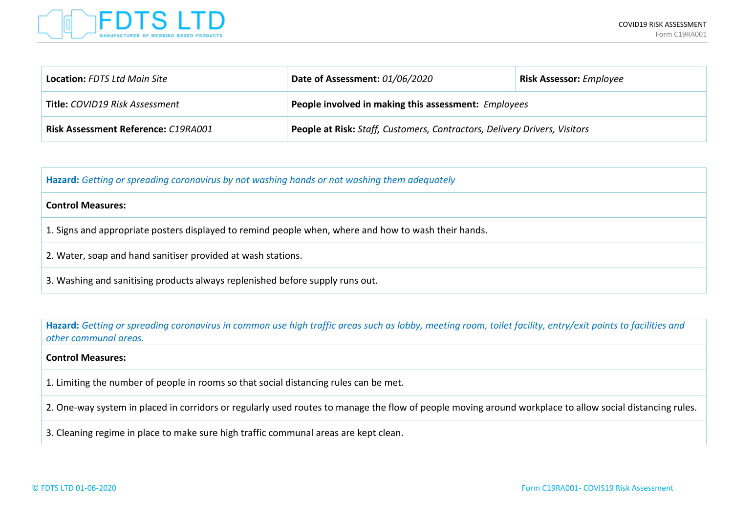

| <b>Location: FDTS Ltd Main Site</b> | Date of Assessment: 01/06/2020                                            | <b>Risk Assessor:</b> Employee |  |  |
|-------------------------------------|---------------------------------------------------------------------------|--------------------------------|--|--|
| Title: COVID19 Risk Assessment      | People involved in making this assessment: Employees                      |                                |  |  |
| Risk Assessment Reference: C19RA001 | People at Risk: Staff, Customers, Contractors, Delivery Drivers, Visitors |                                |  |  |

**Hazard:** *Getting or spreading coronavirus by not washing hands or not washing them adequately*

### **Control Measures:**

1. Signs and appropriate posters displayed to remind people when, where and how to wash their hands.

- 2. Water, soap and hand sanitiser provided at wash stations.
- 3. Washing and sanitising products always replenished before supply runs out.

**Hazard:** *Getting or spreading coronavirus in common use high traffic areas such as lobby, meeting room, toilet facility, entry/exit points to facilities and other communal areas.*

### **Control Measures:**

1. Limiting the number of people in rooms so that social distancing rules can be met.

2. One-way system in placed in corridors or regularly used routes to manage the flow of people moving around workplace to allow social distancing rules.

3. Cleaning regime in place to make sure high traffic communal areas are kept clean.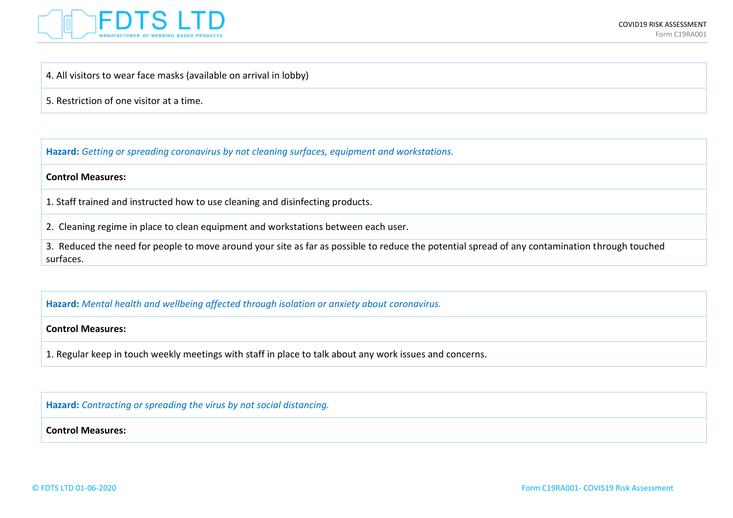

# 4. All visitors to wear face masks (available on arrival in lobby)

5. Restriction of one visitor at a time.

**Hazard:** *Getting or spreading coronavirus by not cleaning surfaces, equipment and workstations.*

## **Control Measures:**

1. Staff trained and instructed how to use cleaning and disinfecting products.

2. Cleaning regime in place to clean equipment and workstations between each user.

3. Reduced the need for people to move around your site as far as possible to reduce the potential spread of any contamination through touched surfaces.

**Hazard:** *Mental health and wellbeing affected through isolation or anxiety about coronavirus.*

### **Control Measures:**

1. Regular keep in touch weekly meetings with staff in place to talk about any work issues and concerns.

**Hazard:** *Contracting or spreading the virus by not social distancing.*

**Control Measures:**